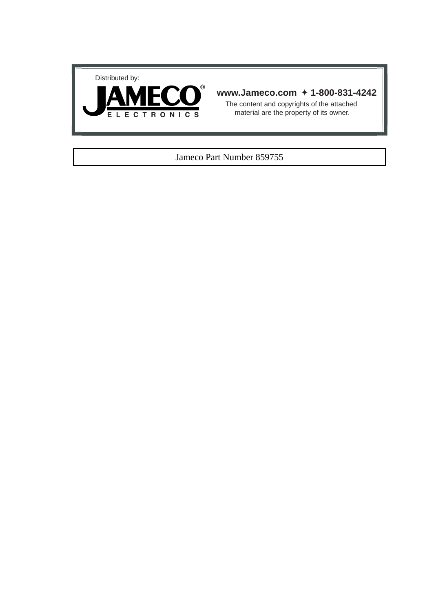



# **www.Jameco.com** ✦ **1-800-831-4242**

The content and copyrights of the attached material are the property of its owner.

## Jameco Part Number 859755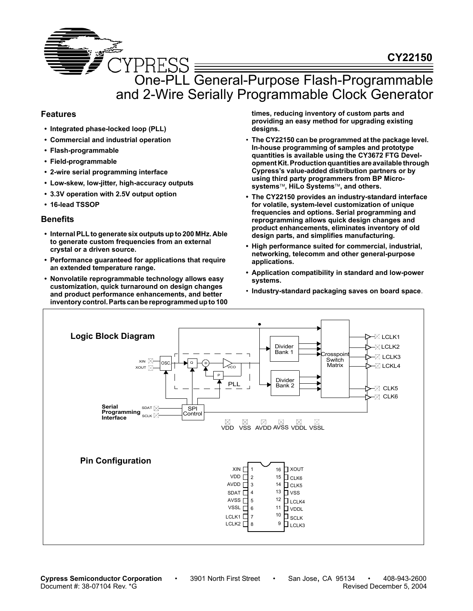

## **Features**

- **Integrated phase-locked loop (PLL)**
- **Commercial and industrial operation**
- **Flash-programmable**
- **Field-programmable**
- **2-wire serial programming interface**
- **Low-skew, low-jitter, high-accuracy outputs**
- **3.3V operation with 2.5V output option**
- **16-lead TSSOP**

## **Benefits**

- **Internal PLL to generate six outputs up to 200 MHz. Able to generate custom frequencies from an external crystal or a driven source.**
- **Performance guaranteed for applications that require an extended temperature range.**
- **Nonvolatile reprogrammable technology allows easy customization, quick turnaround on design changes and product performance enhancements, and better inventory control. Parts can be reprogrammed up to 100**

**times, reducing inventory of custom parts and providing an easy method for upgrading existing designs.**

- **The CY22150 can be programmed at the package level. In-house programming of samples and prototype quantities is available using the CY3672 FTG Development Kit. Production quantities are available through Cypress's value-added distribution partners or by using third party programmers from BP Microsystems, HiLo Systems, and others.**
- **The CY22150 provides an industry-standard interface for volatile, system-level customization of unique frequencies and options. Serial programming and reprogramming allows quick design changes and product enhancements, eliminates inventory of old design parts, and simplifies manufacturing.**
- **High performance suited for commercial, industrial, networking, telecomm and other general-purpose applications.**
- **Application compatibility in standard and low-power systems.**
- **Industry-standard packaging saves on board space**.



**Cypress Semiconductor Corporation** • 3901 North First Street • San Jose, CA 95134 • 408-943-2600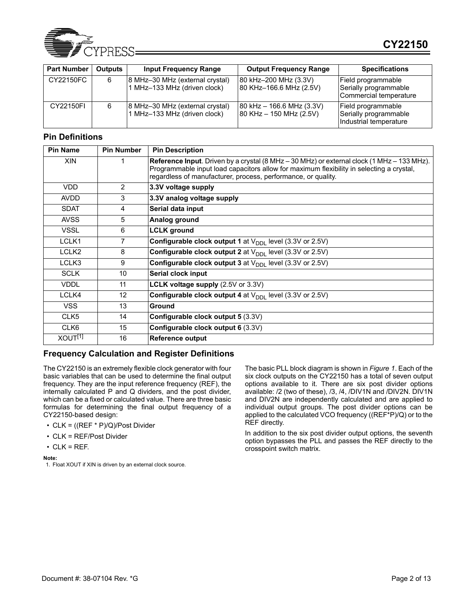

| <b>Part Number</b> | <b>Outputs</b> | <b>Input Frequency Range</b>                                    | <b>Output Frequency Range</b>                                                                       | <b>Specifications</b>                                                 |
|--------------------|----------------|-----------------------------------------------------------------|-----------------------------------------------------------------------------------------------------|-----------------------------------------------------------------------|
| CY22150FC          | 6              | 8 MHz-30 MHz (external crystal)<br>1 MHz-133 MHz (driven clock) | 80 kHz-200 MHz (3.3V)<br>80 KHz-166.6 MHz (2.5V)                                                    | Field programmable<br>Serially programmable<br>Commercial temperature |
| CY22150FI          | 6              | 8 MHz-30 MHz (external crystal)<br>1 MHz–133 MHz (driven clock) | $ 80 \text{ kHz} - 166.6 \text{ MHz} (3.3 \text{V}) $<br>$ 80 \text{ KHz} - 150 \text{ MHz}$ (2.5V) | Field programmable<br>Serially programmable<br>Industrial temperature |

## **Pin Definitions**

| <b>Pin Name</b>     | <b>Pin Number</b> | <b>Pin Description</b>                                                                                                                                                                                                                                              |
|---------------------|-------------------|---------------------------------------------------------------------------------------------------------------------------------------------------------------------------------------------------------------------------------------------------------------------|
| <b>XIN</b>          |                   | <b>Reference Input.</b> Driven by a crystal $(8 MHz - 30 MHz)$ or external clock $(1 MHz - 133 MHz)$ .<br>Programmable input load capacitors allow for maximum flexibility in selecting a crystal,<br>regardless of manufacturer, process, performance, or quality. |
| <b>VDD</b>          | $\overline{2}$    | 3.3V voltage supply                                                                                                                                                                                                                                                 |
| <b>AVDD</b>         | 3                 | 3.3V analog voltage supply                                                                                                                                                                                                                                          |
| <b>SDAT</b>         | 4                 | Serial data input                                                                                                                                                                                                                                                   |
| <b>AVSS</b>         | 5                 | Analog ground                                                                                                                                                                                                                                                       |
| <b>VSSL</b>         | 6                 | <b>LCLK</b> ground                                                                                                                                                                                                                                                  |
| LCLK1               | 7                 | Configurable clock output 1 at $V_{\text{DDI}}$ level (3.3V or 2.5V)                                                                                                                                                                                                |
| LCLK <sub>2</sub>   | 8                 | <b>Configurable clock output 2 at <math>V_{\text{DDI}}</math> level (3.3V or 2.5V)</b>                                                                                                                                                                              |
| LCLK3               | 9                 | <b>Configurable clock output 3 at <math>V_{\text{DDI}}</math> level (3.3V or 2.5V)</b>                                                                                                                                                                              |
| <b>SCLK</b>         | 10                | Serial clock input                                                                                                                                                                                                                                                  |
| <b>VDDL</b>         | 11                | <b>LCLK voltage supply (2.5V or 3.3V)</b>                                                                                                                                                                                                                           |
| LCLK4               | 12 <sup>2</sup>   | <b>Configurable clock output 4 at <math>V_{\text{DDI}}</math> level (3.3V or 2.5V)</b>                                                                                                                                                                              |
| <b>VSS</b>          | 13                | Ground                                                                                                                                                                                                                                                              |
| CLK <sub>5</sub>    | 14                | <b>Configurable clock output 5 (3.3V)</b>                                                                                                                                                                                                                           |
| CLK <sub>6</sub>    | 15                | Configurable clock output 6 (3.3V)                                                                                                                                                                                                                                  |
| XOUT <sup>[1]</sup> | 16                | <b>Reference output</b>                                                                                                                                                                                                                                             |

## **Frequency Calculation and Register Definitions**

The CY22150 is an extremely flexible clock generator with four basic variables that can be used to determine the final output frequency. They are the input reference frequency (REF), the internally calculated P and Q dividers, and the post divider, which can be a fixed or calculated value. There are three basic formulas for determining the final output frequency of a CY22150-based design:

- CLK = ((REF \* P)/Q)/Post Divider
- CLK = REF/Post Divider
- $\cdot$  CLK = REF.

**Note:** 

The basic PLL block diagram is shown in *Figure 1*. Each of the six clock outputs on the CY22150 has a total of seven output options available to it. There are six post divider options available: /2 (two of these), /3, /4, /DIV1N and /DIV2N. DIV1N and DIV2N are independently calculated and are applied to individual output groups. The post divider options can be applied to the calculated VCO frequency ((REF\*P)/Q) or to the REF directly.

In addition to the six post divider output options, the seventh option bypasses the PLL and passes the REF directly to the crosspoint switch matrix.

<sup>1.</sup> Float XOUT if XIN is driven by an external clock source.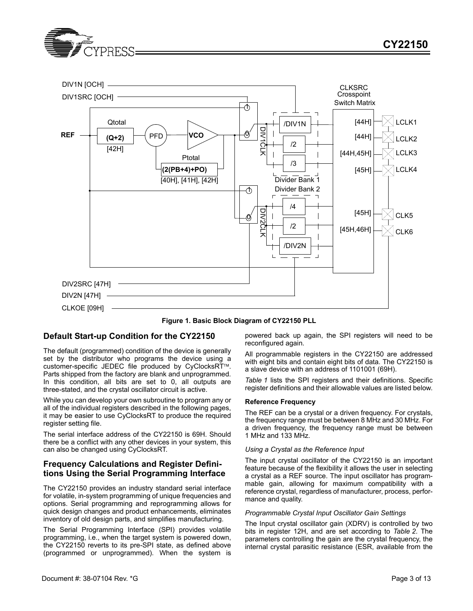



**Figure 1. Basic Block Diagram of CY22150 PLL**

## **Default Start-up Condition for the CY22150**

The default (programmed) condition of the device is generally set by the distributor who programs the device using a customer-specific JEDEC file produced by CyClocksRT™. Parts shipped from the factory are blank and unprogrammed. In this condition, all bits are set to 0, all outputs are three-stated, and the crystal oscillator circuit is active.

While you can develop your own subroutine to program any or all of the individual registers described in the following pages, it may be easier to use CyClocksRT to produce the required register setting file.

The serial interface address of the CY22150 is 69H. Should there be a conflict with any other devices in your system, this can also be changed using CyClocksRT.

## **Frequency Calculations and Register Definitions Using the Serial Programming Interface**

The CY22150 provides an industry standard serial interface for volatile, in-system programming of unique frequencies and options. Serial programming and reprogramming allows for quick design changes and product enhancements, eliminates inventory of old design parts, and simplifies manufacturing.

The Serial Programming Interface (SPI) provides volatile programming, i.e., when the target system is powered down, the CY22150 reverts to its pre-SPI state, as defined above (programmed or unprogrammed). When the system is

powered back up again, the SPI registers will need to be reconfigured again.

All programmable registers in the CY22150 are addressed with eight bits and contain eight bits of data. The CY22150 is a slave device with an address of 1101001 (69H).

*Table 1* lists the SPI registers and their definitions. Specific register definitions and their allowable values are listed below.

#### **Reference Frequency**

The REF can be a crystal or a driven frequency. For crystals, the frequency range must be between 8 MHz and 30 MHz. For a driven frequency, the frequency range must be between 1 MHz and 133 MHz.

#### *Using a Crystal as the Reference Input*

The input crystal oscillator of the CY22150 is an important feature because of the flexibility it allows the user in selecting a crystal as a REF source. The input oscillator has programmable gain, allowing for maximum compatibility with a reference crystal, regardless of manufacturer, process, performance and quality.

#### *Programmable Crystal Input Oscillator Gain Settings*

The Input crystal oscillator gain (XDRV) is controlled by two bits in register 12H, and are set according to *Table 2*. The parameters controlling the gain are the crystal frequency, the internal crystal parasitic resistance (ESR, available from the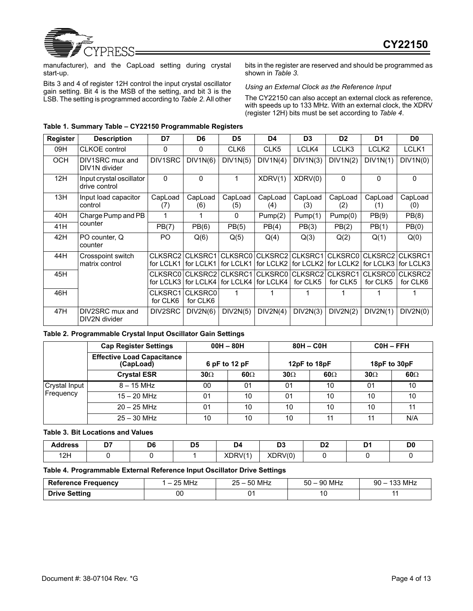

manufacturer), and the CapLoad setting during crystal start-up.

Bits 3 and 4 of register 12H control the input crystal oscillator gain setting. Bit 4 is the MSB of the setting, and bit 3 is the LSB. The setting is programmed according to *Table 2*. All other bits in the register are reserved and should be programmed as shown in *Table 3*.

## *Using an External Clock as the Reference Input*

The CY22150 can also accept an external clock as reference, with speeds up to 133 MHz. With an external clock, the XDRV (register 12H) bits must be set according to *Table 4*.

| Register   | <b>Description</b>                        | D7                  | D <sub>6</sub>                                               | D <sub>5</sub> | D4                                                           | D <sub>3</sub> | D <sub>2</sub> | D <sub>1</sub>                                       | D <sub>0</sub> |
|------------|-------------------------------------------|---------------------|--------------------------------------------------------------|----------------|--------------------------------------------------------------|----------------|----------------|------------------------------------------------------|----------------|
| 09H        | <b>CLKOE</b> control                      | 0                   | 0                                                            | CLK6           | CLK <sub>5</sub>                                             | LCLK4          | LCLK3          | LCLK <sub>2</sub>                                    | LCLK1          |
| <b>OCH</b> | DIV1SRC mux and<br>DIV1N divider          | DIV1SRC             | DIV1N(6)                                                     | DIV1N(5)       | DIV1N(4)                                                     | DIV1N(3)       | DIV1N(2)       | DIV1N(1)                                             | DIV1N(0)       |
| 12H        | Input crystal oscillator<br>drive control | $\Omega$            | $\mathbf{0}$                                                 |                | XDRV(1)                                                      | XDRV(0)        | $\Omega$       | $\Omega$                                             | 0              |
| 13H        | Input load capacitor<br>control           | CapLoad<br>(7)      | CapLoad<br>(6)                                               | CapLoad<br>(5) | CapLoad<br>(4)                                               | CapLoad<br>(3) | CapLoad<br>(2) | CapLoad<br>(1)                                       | CapLoad<br>(0) |
| 40H        | Charge Pump and PB                        |                     |                                                              | 0              | Pump(2)                                                      | Pump(1)        | Pump(0)        | PB(9)                                                | PB(8)          |
| 41H        | counter                                   | PB(7)               | PB(6)                                                        | PB(5)          | PB(4)                                                        | PB(3)          | PB(2)          | PB(1)                                                | PB(0)          |
| 42H        | PO counter, Q<br>counter                  | PO.                 | Q(6)                                                         | Q(5)           | Q(4)                                                         | Q(3)           | Q(2)           | Q(1)                                                 | Q(0)           |
| 44H        | Crosspoint switch<br>matrix control       | CLKSRC2 CLKSRC1     | for LCLK1   for LCLK1                                        |                | CLKSRC0 CLKSRC2 CLKSRC1<br>for LCLK1   for LCLK2   for LCLK2 |                |                | CLKSRC0 CLKSRC2<br>for LCLK2   for LCLK3   for LCLK3 | CLKSRC1        |
| 45H        |                                           |                     | CLKSRC0 CLKSRC2 CLKSRC1<br>for LCLK3   for LCLK4   for LCLK4 |                | for LCLK4                                                    | for CLK5       | for CLK5       | CLKSRC0 CLKSRC2 CLKSRC1 CLKSRC0 CLKSRC2<br>for CLK5  | for CLK6       |
| 46H        |                                           | CLKSRC1<br>for CLK6 | <b>CLKSRC0</b><br>for CLK6                                   |                |                                                              |                |                |                                                      |                |
| 47H        | DIV2SRC mux and<br>DIV2N divider          | DIV2SRC             | DIV2N(6)                                                     | DIV2N(5)       | DIV2N(4)                                                     | DIV2N(3)       | DIV2N(2)       | DIV2N(1)                                             | DIV2N(0)       |

## **Table 1. Summary Table – CY22150 Programmable Registers**

## **Table 2. Programmable Crystal Input Oscillator Gain Settings**

|               | <b>Cap Register Settings</b>                   |            | $00H - 80H$   |            | $80H - COH$  |              | COH-FFH    |
|---------------|------------------------------------------------|------------|---------------|------------|--------------|--------------|------------|
|               | <b>Effective Load Capacitance</b><br>(CapLoad) |            | 6 pF to 12 pF |            | 12pF to 18pF | 18pF to 30pF |            |
|               | <b>Crystal ESR</b>                             | $30\Omega$ | $60\Omega$    | $30\Omega$ | $60\Omega$   | $30\Omega$   | $60\Omega$ |
| Crystal Input | $8 - 15$ MHz                                   | 00         | 01            | 01         | 10           | 01           | 10         |
| Frequency     | $15 - 20$ MHz                                  | 01         | 10            | 01         | 10           | 10           | 10         |
|               | $20 - 25$ MHz                                  | 01         | 10            | 10         | 10           | 10           |            |
|               | $25 - 30$ MHz                                  | 10         | 10            | 10         | 11           | 11           | N/A        |

## **Table 3. Bit Locations and Values**

| Address      | $-$ | D6<br>- - | <b>DE</b><br>יש<br>$\sim$ | . 24    | n o<br>υJ | DC.<br>◡▵ | D4 | D <sub>(</sub> |
|--------------|-----|-----------|---------------------------|---------|-----------|-----------|----|----------------|
| 10日<br>ו ובי |     |           |                           | XDRV(1) | XDRV(0)   |           |    |                |

## **Table 4. Programmable External Reference Input Oscillator Drive Settings**

| <b>Reference Frequency</b> | 25 MHz | 50 MHz | 90 MHz | <b>133 MHz</b> |
|----------------------------|--------|--------|--------|----------------|
|                            | -      | 25 –   | $50 -$ | 9በ –           |
| <b>Drive Setting</b>       | 00     |        | 10     |                |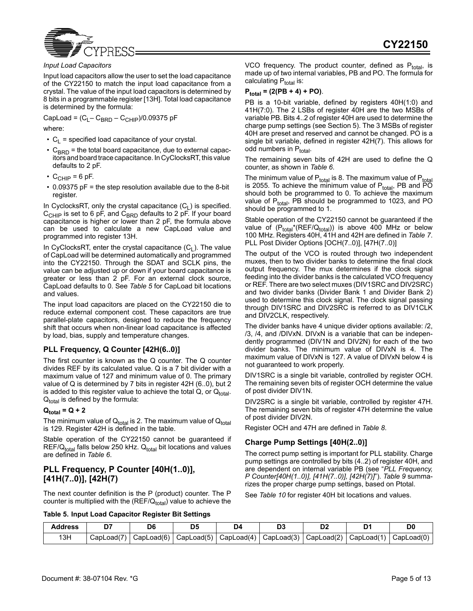

#### *Input Load Capacitors*

Input load capacitors allow the user to set the load capacitance of the CY22150 to match the input load capacitance from a crystal. The value of the input load capacitors is determined by 8 bits in a programmable register [13H]. Total load capacitance is determined by the formula:

CapLoad =  $(C_L - C_{BRD} - C_{CHIP})/0.09375$  pF

where:

- $C_1$  = specified load capacitance of your crystal.
- $\cdot$  C<sub>BRD</sub> = the total board capacitance, due to external capacitors and board trace capacitance. In CyClocksRT, this value defaults to 2 pF.
- $C_{CHIP}$  = 6 pF.
- 0.09375 pF = the step resolution available due to the 8-bit register.

In CyclocksRT, only the crystal capacitance  $(C_1)$  is specified.  $C_{CHIP}$  is set to 6 pF, and  $C_{BRD}$  defaults to 2 pF. If your board capacitance is higher or lower than 2 pF, the formula above can be used to calculate a new CapLoad value and programmed into register 13H.

In CyClocksRT, enter the crystal capacitance  $(C_1)$ . The value of CapLoad will be determined automatically and programmed into the CY22150. Through the SDAT and SCLK pins, the value can be adjusted up or down if your board capacitance is greater or less than 2 pF. For an external clock source, CapLoad defaults to 0. See *Table 5* for CapLoad bit locations and values.

The input load capacitors are placed on the CY22150 die to reduce external component cost. These capacitors are true parallel-plate capacitors, designed to reduce the frequency shift that occurs when non-linear load capacitance is affected by load, bias, supply and temperature changes.

## **PLL Frequency, Q Counter [42H(6..0)]**

The first counter is known as the Q counter. The Q counter divides REF by its calculated value. Q is a 7 bit divider with a maximum value of 127 and minimum value of 0. The primary value of Q is determined by 7 bits in register 42H (6..0), but 2 is added to this register value to achieve the total  $Q$ , or  $Q_{total}$ .  $Q_{total}$  is defined by the formula:

## $Q_{total} = Q + 2$

The minimum value of  $Q_{total}$  is 2. The maximum value of  $Q_{total}$ is 129. Register 42H is defined in the table.

Stable operation of the CY22150 cannot be guaranteed if  $REF/Q_{total}$  falls below 250 kHz.  $Q_{total}$  bit locations and values are defined in *Table 6*.

# **PLL Frequency, P Counter [40H(1..0)], [41H(7..0)], [42H(7)**

The next counter definition is the P (product) counter. The P counter is multiplied with the  $(REF/Q_{total})$  value to achieve the VCO frequency. The product counter, defined as  $P_{total}$ , is made up of two internal variables, PB and PO. The formula for calculating  $P_{total}$  is:

# **Ptotal = (2(PB + 4) + PO)**.

PB is a 10-bit variable, defined by registers 40H(1:0) and 41H(7:0). The 2 LSBs of register 40H are the two MSBs of variable PB. Bits 4..2 of register 40H are used to determine the charge pump settings (see Section 5). The 3 MSBs of register 40H are preset and reserved and cannot be changed. PO is a single bit variable, defined in register 42H(7). This allows for odd numbers in P<sub>total</sub>.

The remaining seven bits of 42H are used to define the Q counter, as shown in *Table 6*.

The minimum value of  $P_{total}$  is 8. The maximum value of  $P_{total}$ is 2055. To achieve the minimum value of  $P_{total}$ , PB and  $\overline{P}\overline{O}$ should both be programmed to 0. To achieve the maximum value of P<sub>total</sub>, PB should be programmed to 1023, and PO should be programmed to 1.

Stable operation of the CY22150 cannot be guaranteed if the value of  $(P_{total}*(REF/Q_{total}))$  is above 400 MHz or below 100 MHz. Registers 40H, 41H and 42H are defined in *Table 7*. PLL Post Divider Options [OCH(7..0)], [47H(7..0)]

The output of the VCO is routed through two independent muxes, then to two divider banks to determine the final clock output frequency. The mux determines if the clock signal feeding into the divider banks is the calculated VCO frequency or REF. There are two select muxes (DIV1SRC and DIV2SRC) and two divider banks (Divider Bank 1 and Divider Bank 2) used to determine this clock signal. The clock signal passing through DIV1SRC and DIV2SRC is referred to as DIV1CLK and DIV2CLK, respectively.

The divider banks have 4 unique divider options available: /2, /3, /4, and /DIVxN. DIVxN is a variable that can be independently programmed (DIV1N and DIV2N) for each of the two divider banks. The minimum value of DIVxN is 4. The maximum value of DIVxN is 127. A value of DIVxN below 4 is not guaranteed to work properly.

DIV1SRC is a single bit variable, controlled by register OCH. The remaining seven bits of register OCH determine the value of post divider DIV1N.

DIV2SRC is a single bit variable, controlled by register 47H. The remaining seven bits of register 47H determine the value of post divider DIV2N.

Register OCH and 47H are defined in *Table 8*.

## **Charge Pump Settings [40H(2..0)]**

The correct pump setting is important for PLL stability. Charge pump settings are controlled by bits (4..2) of register 40H, and are dependent on internal variable PB (see "*PLL Frequency, P Counter[40H(1..0)], [41H(7..0)], [42H(7)]*"). *Table 9* summarizes the proper charge pump settings, based on Ptotal.

See *Table 10* for register 40H bit locations and values.

#### **Table 5. Input Load Capacitor Register Bit Settings**

| <b>Address</b> |            |            |                                                                                | D4 |  | D(         |
|----------------|------------|------------|--------------------------------------------------------------------------------|----|--|------------|
| 13H            | CapLoad(7) | CapLoad(6) | $ $ CapLoad(5) $ $ CapLoad(4) $ $ CapLoad(3) $ $ CapLoad(2) $ $ CapLoad(1) $ $ |    |  | CapLoad(0) |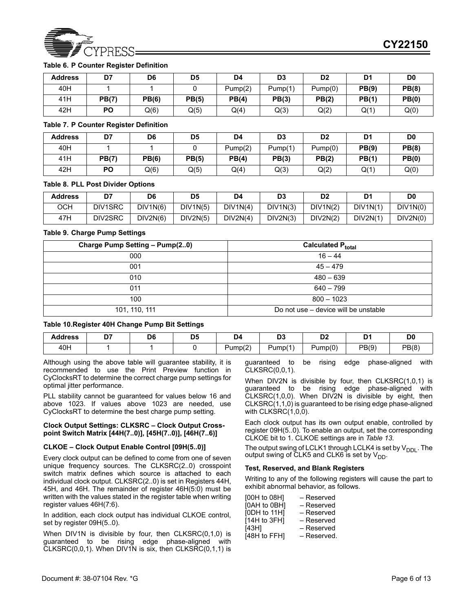

## **Table 6. P Counter Register Definition**

| <b>Address</b> | D7        | D <sub>6</sub> | D <sub>5</sub> | D4      | D <sub>3</sub> | D2      | D <sub>1</sub> | D <sub>0</sub> |
|----------------|-----------|----------------|----------------|---------|----------------|---------|----------------|----------------|
| 40H            |           |                |                | Pump(2) | Pump(1)        | Pump(0) | PB(9)          | PB(8)          |
| 41H            | PB(7)     | <b>PB(6)</b>   | PB(5)          | PB(4)   | PB(3)          | PB(2)   | PB(1)          | PB(0)          |
| 42H            | <b>PO</b> | Q(6)           | Q(5)           | Q(4)    | Q(3)           | Q(2)    | Q(1)           | Q(0)           |

#### **Table 7. P Counter Register Definition**

| <b>Address</b> | D7           | D6           | D5           | D4      | D <sub>3</sub> | D <sub>2</sub> | D1    | D0    |
|----------------|--------------|--------------|--------------|---------|----------------|----------------|-------|-------|
| 40H            |              |              |              | Pump(2) | Pump(1)        | Pump(0)        | PB(9) | PB(8) |
| 41H            | <b>PB(7)</b> | <b>PB(6)</b> | <b>PB(5)</b> | PB(4)   | PB(3)          | PB(2)          | PB(1) | PB(0) |
| 42H            | PO           | Q(6)         | Q(5)         | Q(4)    | Q(3)           | Q(2)           | Q(1`  | Q(0)  |

#### **Table 8. PLL Post Divider Options**

| <b>Address</b> | D7      | D6       | D <sub>5</sub> | D4       | D <sub>3</sub> | D <sub>2</sub> | D <sub>1</sub> | D <sub>0</sub> |
|----------------|---------|----------|----------------|----------|----------------|----------------|----------------|----------------|
| осн            | DIV1SRC | DIV1N(6) | DIV1N(5)       | DIV1N(4) | DIV1N(3)       | DIV1N(2)       | DIV1N(1)       | DIV1N(0)       |
| 47H            | DIV2SRC | DIV2N(6) | DIV2N(5)       | DIV2N(4) | DIV2N(3)       | DIV2N(2)       | DIV2N(1)       | DIV2N(0)       |

## **Table 9. Charge Pump Settings**

| Charge Pump Setting - Pump(20) | Calculated P <sub>total</sub>        |
|--------------------------------|--------------------------------------|
| 000                            | $16 - 44$                            |
| 001                            | $45 - 479$                           |
| 010                            | $480 - 639$                          |
| 011                            | $640 - 799$                          |
| 100                            | $800 - 1023$                         |
| 101, 110, 111                  | Do not use – device will be unstable |

## **Table 10.Register 40H Change Pump Bit Settings**

| Address | D7 | D6 | Dś | . .               | $\mathbf{r}$<br>יש<br>the contract of the contract of | - -<br>.<br>-- | D.    | D)    |
|---------|----|----|----|-------------------|-------------------------------------------------------|----------------|-------|-------|
| 40H     |    |    |    | $\sim$<br>Pump(z) | $\lambda$<br>Pump(                                    | Pump(0)        | PB(9) | PB(8) |

Although using the above table will guarantee stability, it is recommended to use the Print Preview function in CyClocksRT to determine the correct charge pump settings for optimal jitter performance.

PLL stability cannot be guaranteed for values below 16 and above 1023. If values above 1023 are needed, use CyClocksRT to determine the best charge pump setting.

#### **Clock Output Settings: CLKSRC – Clock Output Crosspoint Switch Matrix [44H(7..0)], [45H(7..0)], [46H(7..6)]**

#### **CLKOE – Clock Output Enable Control [09H(5..0)]**

Every clock output can be defined to come from one of seven unique frequency sources. The CLKSRC(2..0) crosspoint switch matrix defines which source is attached to each individual clock output. CLKSRC(2..0) is set in Registers 44H, 45H, and 46H. The remainder of register 46H(5:0) must be written with the values stated in the register table when writing register values 46H(7:6).

In addition, each clock output has individual CLKOE control, set by register 09H(5..0).

When DIV1N is divisible by four, then CLKSRC(0,1,0) is guaranteed to be rising edge phase-aligned with CLKSRC(0,0,1). When DIV1N is six, then CLKSRC(0,1,1) is

guaranteed to be rising edge phase-aligned with CLKSRC(0,0,1).

When DIV2N is divisible by four, then CLKSRC(1,0,1) is guaranteed to be rising edge phase-aligned with CLKSRC(1,0,0). When DIV2N is divisible by eight, then CLKSRC(1,1,0) is guaranteed to be rising edge phase-aligned with CLKSRC(1,0,0).

Each clock output has its own output enable, controlled by register 09H(5..0). To enable an output, set the corresponding CLKOE bit to 1. CLKOE settings are in *Table 13*.

The output swing of LCLK1 through LCLK4 is set by  $V_{DDL}$ . The output swing of CLK5 and CLK6 is set by  $V_{DD}$ .

#### **Test, Reserved, and Blank Registers**

Writing to any of the following registers will cause the part to exhibit abnormal behavior, as follows.

| [00H to 08H] | - Reserved  |
|--------------|-------------|
| [OAH to OBH] | - Reserved  |
| [0DH to 11H] | - Reserved  |
| [14H to 3FH] | - Reserved  |
| [43H]        | - Reserved  |
| [48H to FFH] | - Reserved. |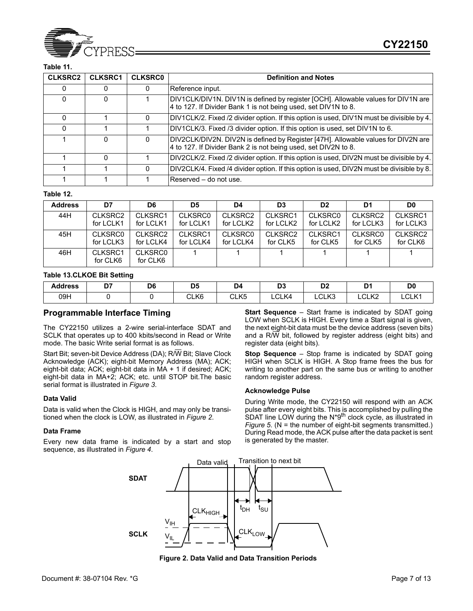

## **Table 11.**

| <b>CLKSRC2</b> | <b>CLKSRC1</b> | <b>CLKSRC0</b> | <b>Definition and Notes</b>                                                                                                                         |
|----------------|----------------|----------------|-----------------------------------------------------------------------------------------------------------------------------------------------------|
|                |                |                | Reference input.                                                                                                                                    |
| 0              | 0              |                | DIV1CLK/DIV1N. DIV1N is defined by register [OCH]. Allowable values for DIV1N are<br>4 to 127. If Divider Bank 1 is not being used, set DIV1N to 8. |
| 0              |                | 0              | DIV1CLK/2. Fixed /2 divider option. If this option is used, DIV1N must be divisible by 4.                                                           |
|                |                |                | DIV1CLK/3. Fixed /3 divider option. If this option is used, set DIV1N to 6.                                                                         |
|                | o              | 0              | DIV2CLK/DIV2N. DIV2N is defined by Register [47H]. Allowable values for DIV2N are<br>4 to 127. If Divider Bank 2 is not being used, set DIV2N to 8. |
|                |                |                | DIV2CLK/2. Fixed /2 divider option. If this option is used, DIV2N must be divisible by 4.                                                           |
|                |                | 0              | DIV2CLK/4. Fixed /4 divider option. If this option is used, DIV2N must be divisible by 8.                                                           |
|                |                |                | Reserved – do not use.                                                                                                                              |

#### **Table 12.**

| <b>Address</b> | D7                  | D6                         | D5             | D4             | D <sub>3</sub> | D <sub>2</sub> | D1        | D <sub>0</sub> |
|----------------|---------------------|----------------------------|----------------|----------------|----------------|----------------|-----------|----------------|
| 44H            | CLKSRC2             | CLKSRC1                    | <b>CLKSRC0</b> | CLKSRC2        | CLKSRC1        | <b>CLKSRC0</b> | CLKSRC2   | CLKSRC1        |
|                | for LCLK1           | for LCLK1                  | for LCLK1      | for LCLK2      | for LCLK2      | for LCLK2      | for LCLK3 | for LCLK3      |
| 45H            | <b>CLKSRC0</b>      | CLKSRC2                    | CLKSRC1        | <b>CLKSRC0</b> | CLKSRC2        | CLKSRC1        | CLKSRC0   | CLKSRC2        |
|                | for LCLK3           | for LCLK4                  | for LCLK4      | for LCLK4      | for CLK5       | for CLK5       | for CLK5  | for CLK6       |
| 46H            | CLKSRC1<br>for CLK6 | <b>CLKSRC0</b><br>for CLK6 |                |                |                |                |           |                |

#### **Table 13.CLKOE Bit Setting**

| <b>Address</b> | --<br>יש | D6<br>$\sim$ | DF<br>υv<br>$\sim$ | ەر             | n.<br>◡<br>$\sim$               | r.<br>◡                     | D4<br>້                      | D0    |
|----------------|----------|--------------|--------------------|----------------|---------------------------------|-----------------------------|------------------------------|-------|
| 09H            |          |              | CLK6<br>____       | CLK5<br>______ | $\sim$<br>$\mathbf{z}$<br>∟CLK4 | C <sub>1</sub> 1/2<br>∟∪∟∧ง | $\bigcap$ $\bigcup$<br>LULNZ | LCLK1 |

## **Programmable Interface Timing**

The CY22150 utilizes a 2-wire serial-interface SDAT and SCLK that operates up to 400 kbits/second in Read or Write mode. The basic Write serial format is as follows.

Start Bit; seven-bit Device Address (DA); R/W Bit; Slave Clock Acknowledge (ACK); eight-bit Memory Address (MA); ACK; eight-bit data; ACK; eight-bit data in MA + 1 if desired; ACK; eight-bit data in MA+2; ACK; etc. until STOP bit.The basic serial format is illustrated in *Figure 3*.

#### **Data Valid**

Data is valid when the Clock is HIGH, and may only be transitioned when the clock is LOW, as illustrated in *Figure 2*.

#### **Data Frame**

Every new data frame is indicated by a start and stop sequence, as illustrated in *Figure 4*.

**Start Sequence** – Start frame is indicated by SDAT going LOW when SCLK is HIGH. Every time a Start signal is given, the next eight-bit data must be the device address (seven bits) and a R/W bit, followed by register address (eight bits) and register data (eight bits).

**Stop Sequence** – Stop frame is indicated by SDAT going HIGH when SCLK is HIGH. A Stop frame frees the bus for writing to another part on the same bus or writing to another random register address.

#### **Acknowledge Pulse**

During Write mode, the CY22150 will respond with an ACK pulse after every eight bits. This is accomplished by pulling the SDAT line LOW during the N\*9<sup>th</sup> clock cycle, as illustrated in *Figure 5.* (N = the number of eight-bit segments transmitted.) During Read mode, the ACK pulse after the data packet is sent is generated by the master.



**Figure 2. Data Valid and Data Transition Periods**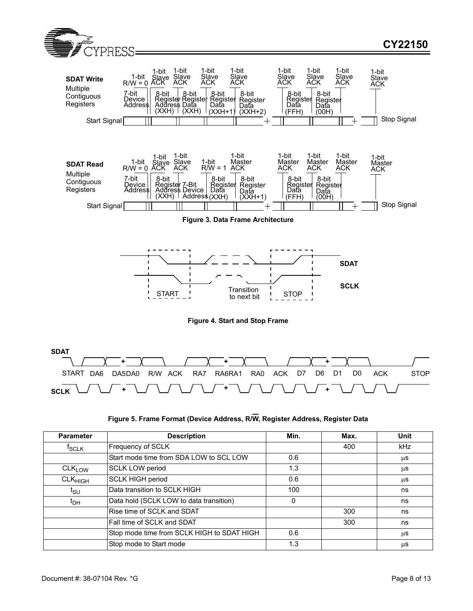



| Figure 5. Frame Format (Device Address, R/W, Register Address, Register Data |  |  |
|------------------------------------------------------------------------------|--|--|

| <b>Parameter</b>                | <b>Description</b>                         | Min. | Max. | Unit       |
|---------------------------------|--------------------------------------------|------|------|------------|
| $t_{\scriptstyle\textrm{SCLK}}$ | Frequency of SCLK                          |      | 400  | <b>kHz</b> |
|                                 | Start mode time from SDA LOW to SCL LOW    | 0.6  |      | μS         |
| $CLK_{LOW}$                     | <b>SCLK LOW period</b>                     | 1.3  |      | μS         |
| $\mathsf{CLK}_{\mathsf{HIGH}}$  | <b>SCLK HIGH period</b>                    | 0.6  |      | μS         |
| t <sub>SU</sub>                 | Data transition to SCLK HIGH               | 100  |      | ns         |
| ι <sub>рн</sub>                 | Data hold (SCLK LOW to data transition)    | 0    |      | ns         |
|                                 | Rise time of SCLK and SDAT                 |      | 300  | ns         |
|                                 | Fall time of SCLK and SDAT                 |      | 300  | ns         |
|                                 | Stop mode time from SCLK HIGH to SDAT HIGH | 0.6  |      | μS         |
|                                 | Stop mode to Start mode                    | 1.3  |      | μS         |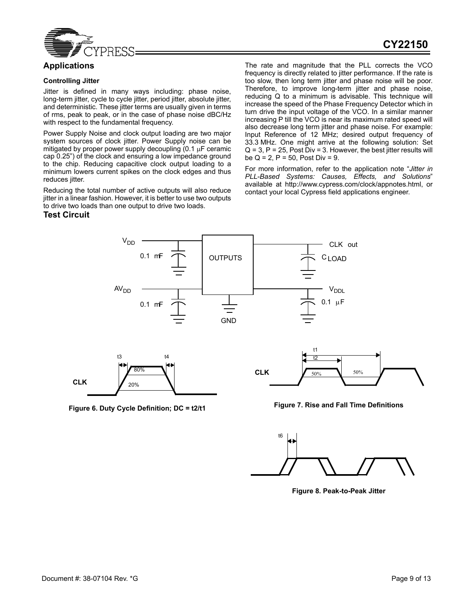

# **Applications**

#### **Controlling Jitter**

Jitter is defined in many ways including: phase noise, long-term jitter, cycle to cycle jitter, period jitter, absolute jitter, and deterministic. These jitter terms are usually given in terms of rms, peak to peak, or in the case of phase noise dBC/Hz with respect to the fundamental frequency.

Power Supply Noise and clock output loading are two major system sources of clock jitter. Power Supply noise can be mitigated by proper power supply decoupling  $(0.1 \mu F \text{ cent})$ cap 0.25") of the clock and ensuring a low impedance ground to the chip. Reducing capacitive clock output loading to a minimum lowers current spikes on the clock edges and thus reduces jitter.

Reducing the total number of active outputs will also reduce jitter in a linear fashion. However, it is better to use two outputs to drive two loads than one output to drive two loads.

## **Test Circuit**

The rate and magnitude that the PLL corrects the VCO frequency is directly related to jitter performance. If the rate is too slow, then long term jitter and phase noise will be poor. Therefore, to improve long-term jitter and phase noise, reducing Q to a minimum is advisable. This technique will increase the speed of the Phase Frequency Detector which in turn drive the input voltage of the VCO. In a similar manner increasing P till the VCO is near its maximum rated speed will also decrease long term jitter and phase noise. For example: Input Reference of 12 MHz; desired output frequency of 33.3 MHz. One might arrive at the following solution: Set  $Q = 3$ ,  $P = 25$ , Post Div = 3. However, the best jitter results will be  $Q = 2$ ,  $P = 50$ , Post Div = 9.

For more information, refer to the application note "*Jitter in PLL-Based Systems: Causes, Effects, and Solutions*" available at http://www.cypress.com/clock/appnotes.html, or contact your local Cypress field applications engineer.





**Figure 8. Peak-to-Peak Jitter**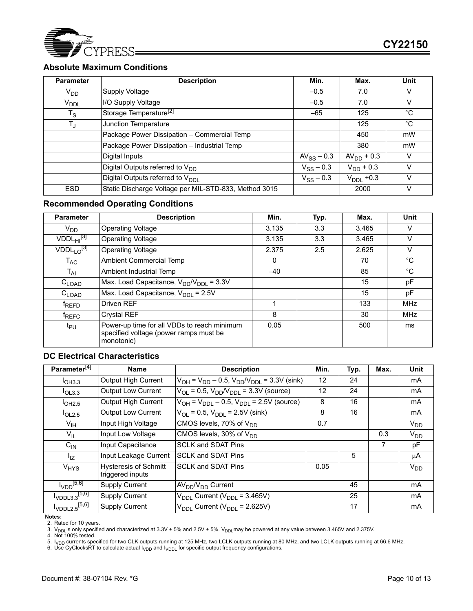

# **Absolute Maximum Conditions**

| <b>Parameter</b> | <b>Description</b>                                    | Min.            | Max.                  | Unit         |
|------------------|-------------------------------------------------------|-----------------|-----------------------|--------------|
| V <sub>DD</sub>  | Supply Voltage                                        | $-0.5$          | 7.0                   | v            |
| V <sub>DDL</sub> | I/O Supply Voltage                                    | $-0.5$          | 7.0                   | V            |
| $T_S$            | Storage Temperature <sup>[2]</sup>                    | $-65$           | 125                   | $^{\circ}$ C |
| $T_{\rm J}$      | Junction Temperature                                  |                 | 125                   | °C           |
|                  | Package Power Dissipation - Commercial Temp           |                 | 450                   | mW           |
|                  | Package Power Dissipation - Industrial Temp           |                 | 380                   | mW           |
|                  | Digital Inputs                                        | $AV_{SS}$ – 0.3 | $AVDD + 0.3$          | V            |
|                  | Digital Outputs referred to $V_{DD}$                  | $V_{SS} - 0.3$  | $V_{DD}$ + 0.3        | v            |
|                  | Digital Outputs referred to V <sub>DDL</sub>          | $V_{SS} - 0.3$  | $V_{\text{DDL}}$ +0.3 | v            |
| <b>ESD</b>       | Static Discharge Voltage per MIL-STD-833, Method 3015 |                 | 2000                  | ν            |

# **Recommended Operating Conditions**

| <b>Parameter</b>           | <b>Description</b>                                                                                  | Min.  | Typ. | Max.  | <b>Unit</b> |
|----------------------------|-----------------------------------------------------------------------------------------------------|-------|------|-------|-------------|
| $V_{DD}$                   | <b>Operating Voltage</b>                                                                            | 3.135 | 3.3  | 3.465 | v           |
| VDDL <sub>HI</sub> [3]     | <b>Operating Voltage</b>                                                                            | 3.135 | 3.3  | 3.465 | v           |
| $VDDL1 O^{[3]}$            | <b>Operating Voltage</b>                                                                            | 2.375 | 2.5  | 2.625 | v           |
| $\mathsf{T}_{\mathsf{AC}}$ | Ambient Commercial Temp                                                                             | 0     |      | 70    | °C          |
| $T_{AI}$                   | Ambient Industrial Temp                                                                             | $-40$ |      | 85    | $^{\circ}C$ |
| $C_{\text{LOAD}}$          | Max. Load Capacitance, $V_{DD}/V_{DDL} = 3.3V$                                                      |       |      | 15    | pF          |
| $C_{\mathsf{LOAD}}$        | Max. Load Capacitance, $V_{\text{DDI}} = 2.5V$                                                      |       |      | 15    | рF          |
| <sup>T</sup> REFD          | Driven REF                                                                                          |       |      | 133   | <b>MHz</b>  |
| <sup>T</sup> REFC          | <b>Crystal REF</b>                                                                                  | 8     |      | 30    | MHz         |
| t <sub>PU</sub>            | Power-up time for all VDDs to reach minimum<br>specified voltage (power ramps must be<br>monotonic) | 0.05  |      | 500   | ms          |

# **DC Electrical Characteristics**

| Parameter <sup>[4]</sup>              | Name                                             | <b>Description</b>                                        | Min. | Typ. | Max. | <b>Unit</b> |
|---------------------------------------|--------------------------------------------------|-----------------------------------------------------------|------|------|------|-------------|
| $I$ OH3.3                             | Output High Current                              | $V_{OH}$ = $V_{DD}$ – 0.5, $V_{DD}/V_{DDL}$ = 3.3V (sink) | 12   | 24   |      | mA          |
| I <sub>OL3.3</sub>                    | <b>Output Low Current</b>                        | $V_{OL} = 0.5$ , $V_{DD}/V_{DDL} = 3.3V$ (source)         | 12   | 24   |      | mA          |
| I <sub>OH2.5</sub>                    | Output High Current                              | $V_{OH} = V_{DDL} - 0.5$ , $V_{DDL} = 2.5V$ (source)      | 8    | 16   |      | mA          |
| I <sub>OL2.5</sub>                    | <b>Output Low Current</b>                        | $V_{OL}$ = 0.5, $V_{DDL}$ = 2.5V (sink)                   | 8    | 16   |      | mA          |
| $V_{\text{IH}}$                       | Input High Voltage                               | CMOS levels, 70% of V <sub>DD</sub>                       | 0.7  |      |      | $V_{DD}$    |
| $V_{IL}$                              | Input Low Voltage                                | CMOS levels, 30% of $V_{DD}$                              |      |      | 0.3  | $V_{DD}$    |
| $C_{\text{IN}}$                       | Input Capacitance                                | <b>SCLK and SDAT Pins</b>                                 |      |      | 7    | pF          |
| $I_{\mathsf{IZ}}$                     | Input Leakage Current                            | <b>SCLK and SDAT Pins</b>                                 |      | 5    |      | μA          |
| <b>V<sub>HYS</sub></b>                | <b>Hysteresis of Schmitt</b><br>triggered inputs | <b>SCLK and SDAT Pins</b>                                 | 0.05 |      |      | $V_{DD}$    |
| $I_{\text{VDD}}^{[5,6]}$              | <b>Supply Current</b>                            | $AVDD/VDD Current$                                        |      | 45   |      | mA          |
| $I_{\text{VDDL}3.3}$ <sup>[5,6]</sup> | <b>Supply Current</b>                            | $V_{DDL}$ Current ( $V_{DDL}$ = 3.465V)                   |      | 25   |      | mA          |
| $I_{\sf VDDL2.5}$ [5,6]               | <b>Supply Current</b>                            | $V_{\text{DDL}}$ Current ( $V_{\text{DDL}}$ = 2.625V)     |      | 17   |      | mA          |

#### **Notes:**

2. Rated for 10 years.

3. V<sub>DDL</sub>is only specified and characterized at  $3.3V \pm 5%$  and 2.5V  $\pm 5%$ . V<sub>DDL</sub>may be powered at any value between 3.465V and 2.375V.

4. Not 100% tested.<br>5. I<sub>VDD</sub> currents specified for two CLK outputs running at 125 MHz, two LCLK outputs running at 80 MHz, and two LCLK outputs running at 66.6 MHz.<br>6. Use CyClocksRT to calculate actual I<sub>VDD</sub> and I<sub>VDDL</sub>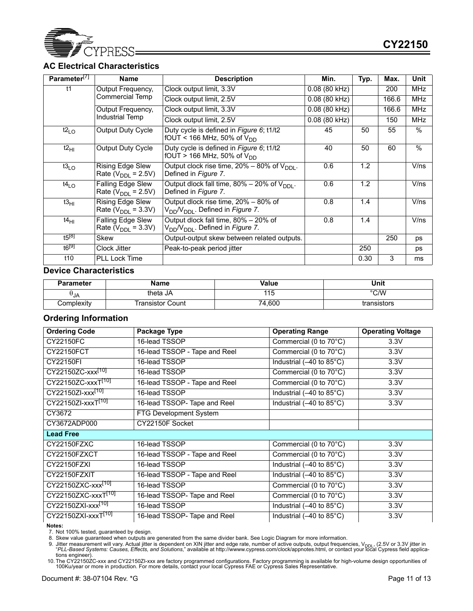

# **AC Electrical Characteristics**

| Parameter <sup>[7]</sup> | <b>Name</b>                                          | <b>Description</b>                                                                               | Min.                   | Typ. | Max.  | Unit          |
|--------------------------|------------------------------------------------------|--------------------------------------------------------------------------------------------------|------------------------|------|-------|---------------|
| t1                       | Output Frequency,                                    | Clock output limit, 3.3V                                                                         | $0.08(80 \text{ kHz})$ |      | 200   | <b>MHz</b>    |
|                          | Commercial Temp                                      | Clock output limit, 2.5V                                                                         | 0.08 (80 kHz)          |      | 166.6 | <b>MHz</b>    |
|                          | Output Frequency,                                    | Clock output limit, 3.3V                                                                         | $0.08$ (80 kHz)        |      | 166.6 | <b>MHz</b>    |
|                          | Industrial Temp                                      | Clock output limit, 2.5V                                                                         | 0.08 (80 kHz)          |      | 150   | <b>MHz</b>    |
| $t2_{LO}$                | Output Duty Cycle                                    | Duty cycle is defined in Figure 6; t1/t2<br>fOUT < 166 MHz, 50% of $V_{DD}$                      | 45                     | 50   | 55    | $\frac{0}{0}$ |
| t2 <sub>H1</sub>         | Output Duty Cycle                                    | Duty cycle is defined in Figure 6; t1/t2<br>fOUT > 166 MHz, 50% of $V_{DD}$                      | 40                     | 50   | 60    | $\frac{0}{0}$ |
| $t3_{LO}$                | Rising Edge Slew<br>Rate ( $V_{\text{DDI}}$ = 2.5V)  | Output clock rise time, $20\% - 80\%$ of $V_{\text{DDI}}$ .<br>Defined in Figure 7.              | 0.6                    | 1.2  |       | V/ns          |
| t4 <sub>l O</sub>        | Falling Edge Slew<br>Rate ( $V_{\text{DDI}}$ = 2.5V) | Output dlock fall time, $80\% - 20\%$ of $V_{\text{DDI}}$ .<br>Defined in Figure 7.              | 0.6                    | 1.2  |       | V/ns          |
| t3 <sub>H1</sub>         | Rising Edge Slew<br>Rate ( $V_{\text{DDI}}$ = 3.3V)  | Output dlock rise time, 20% – 80% of<br>V <sub>DD</sub> /V <sub>DDI</sub> . Defined in Figure 7. | 0.8                    | 1.4  |       | V/ns          |
| t4 <sub>HI</sub>         | Falling Edge Slew<br>Rate ( $V_{\text{DDI}}$ = 3.3V) | Output dlock fall time, 80% - 20% of<br>V <sub>DD</sub> /V <sub>DDI</sub> . Defined in Figure 7. | 0.8                    | 1.4  |       | V/ns          |
| $t5^{[8]}$               | Skew                                                 | Output-output skew between related outputs.                                                      |                        |      | 250   | ps            |
| $t6^{19}$                | Clock Jitter                                         | Peak-to-peak period jitter                                                                       |                        | 250  |       | ps            |
| t10                      | <b>PLL Lock Time</b>                                 |                                                                                                  |                        | 0.30 | 3     | ms            |

## **Device Characteristics**

| <b>Parameter</b> | Name             | <b>Value</b> | Unit        |
|------------------|------------------|--------------|-------------|
| UJA              | theta JA         | ∣∣∪          | °C/W        |
| Complexity       | Transistor Count | 74,600       | transistors |

# **Ordering Information**

| <b>Ordering Code</b>            | Package Type                  | <b>Operating Range</b>                            | <b>Operating Voltage</b> |
|---------------------------------|-------------------------------|---------------------------------------------------|--------------------------|
| CY22150FC                       | 16-lead TSSOP                 | Commercial (0 to $70^{\circ}$ C)                  | 3.3V                     |
| CY22150FCT                      | 16-lead TSSOP - Tape and Reel | Commercial (0 to 70°C)                            | 3.3V                     |
| CY22150FI                       | 16-lead TSSOP                 | Industrial $(-40 \text{ to } 85^{\circ}\text{C})$ | 3.3V                     |
| CY22150ZC-xxx <sup>[10]</sup>   | 16-lead TSSOP                 | Commercial (0 to 70°C)                            | 3.3V                     |
| CY22150ZC-xxxT <sup>[10]</sup>  | 16-lead TSSOP - Tape and Reel | Commercial (0 to 70°C)                            | 3.3V                     |
| CY22150ZI-xxx <sup>[10]</sup>   | 16-lead TSSOP                 | Industrial (-40 to 85°C)                          | 3.3V                     |
| CY22150ZI-xxxT <sup>[10]</sup>  | 16-lead TSSOP- Tape and Reel  | Industrial (-40 to 85°C)                          | 3.3V                     |
| CY3672                          | FTG Development System        |                                                   |                          |
| CY3672ADP000                    | CY22150F Socket               |                                                   |                          |
| <b>Lead Free</b>                |                               |                                                   |                          |
| CY22150FZXC                     | 16-lead TSSOP                 | Commercial (0 to 70°C)                            | 3.3V                     |
| CY22150FZXCT                    | 16-lead TSSOP - Tape and Reel | Commercial (0 to 70°C)                            | 3.3V                     |
| CY22150FZXI                     | 16-lead TSSOP                 | Industrial (-40 to 85°C)                          | 3.3V                     |
| CY22150FZXIT                    | 16-lead TSSOP - Tape and Reel | Industrial (-40 to 85°C)                          | 3.3V                     |
| CY22150ZXC-xxx <sup>[10]</sup>  | 16-lead TSSOP                 | Commercial (0 to 70°C)                            | 3.3V                     |
| CY22150ZXC-xxxT <sup>[10]</sup> | 16-lead TSSOP- Tape and Reel  | Commercial (0 to 70°C)                            | 3.3V                     |
| CY22150ZXI-xxx <sup>[10]</sup>  | 16-lead TSSOP                 | Industrial (-40 to 85°C)                          | 3.3V                     |
| CY22150ZXI-xxxT <sup>[10]</sup> | 16-lead TSSOP- Tape and Reel  | Industrial (-40 to 85°C)                          | 3.3V                     |

**Notes:** 

7. Not 100% tested, guaranteed by design. 8. Skew value guaranteed when outputs are generated from the same divider bank. See Logic Diagram for more information.

9. Jitter measurement will vary. Actual jitter is dependent on XIN jitter and edge rate, number of active outputs, output frequencies, V<sub>DDL</sub>, (2.5V or 3.3V jitter in<br>PLL-Based Systems: Causes, Effects, and Solutions," ava

tions engineer).<br>10. The CY22150ZC-xxx and CY22150ZI-xxx are factory programmed configurations. Factory programming is available for high-volume design opportunities of<br>100Ku/year or more in production. For more details, c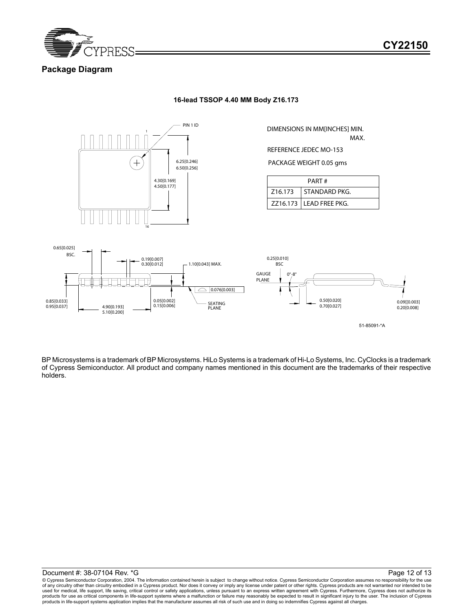

# **Package Diagram**

**16-lead TSSOP 4.40 MM Body Z16.173**



DIMENSIONS IN MM[INCHES] MIN.

MAX.

REFERENCE JEDEC MO-153

PACKAGE WEIGHT 0.05 gms

| PART#                |                           |  |  |  |
|----------------------|---------------------------|--|--|--|
| Z <sub>16</sub> .173 | STANDARD PKG.             |  |  |  |
|                      | $ZZ16.173$ LEAD FREE PKG. |  |  |  |



BP Microsystems is a trademark of BP Microsystems. HiLo Systems is a trademark of Hi-Lo Systems, Inc. CyClocks is a trademark of Cypress Semiconductor. All product and company names mentioned in this document are the trademarks of their respective holders.

© Cypress Semiconductor Corporation, 2004. The information contained herein is subject to change without notice. Cypress Semiconductor Corporation assumes no responsibility for the use of any circuitry other than circuitry embodied in a Cypress product. Nor does it convey or imply any license under patent or other rights. Cypress products are not warranted nor intended to be<br>used for medical, life suppor products for use as critical components in life-support systems where a malfunction or failure may reasonably be expected to result in significant injury to the user. The inclusion of Cypress products in life-support systems application implies that the manufacturer assumes all risk of such use and in doing so indemnifies Cypress against all charges.